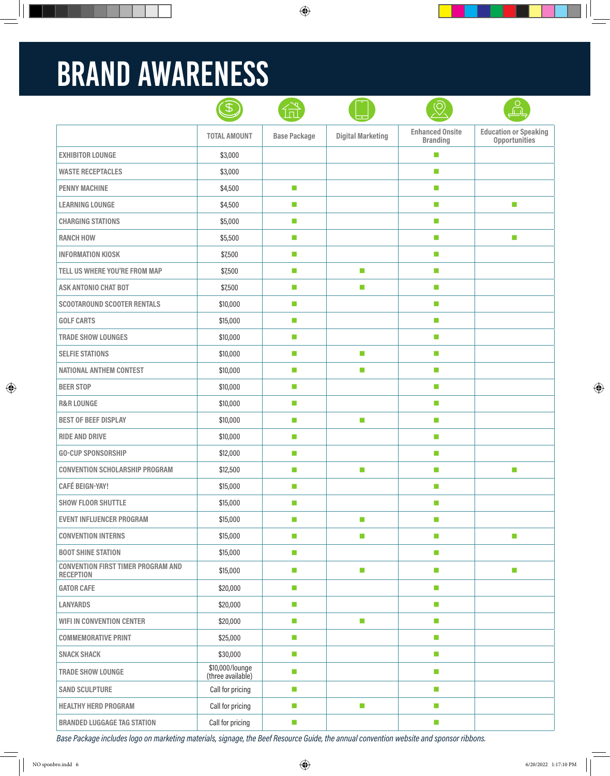# BRAND AWARENESS

|                                                               | B                                    |                     |                             |                                           | O<br>$\cap$                                          |
|---------------------------------------------------------------|--------------------------------------|---------------------|-----------------------------|-------------------------------------------|------------------------------------------------------|
|                                                               | <b>TOTAL AMOUNT</b>                  | <b>Base Package</b> | <b>Digital Marketing</b>    | <b>Enhanced Onsite</b><br><b>Branding</b> | <b>Education or Speaking</b><br><b>Opportunities</b> |
| <b>EXHIBITOR LOUNGE</b>                                       | \$3,000                              |                     |                             | $\mathcal{L}_{\mathcal{A}}$               |                                                      |
| <b>WASTE RECEPTACLES</b>                                      | \$3,000                              |                     |                             | $\mathcal{L}_{\mathcal{A}}$               |                                                      |
| <b>PENNY MACHINE</b>                                          | \$4,500                              | $\mathcal{C}$       |                             | a.                                        |                                                      |
| <b>LEARNING LOUNGE</b>                                        | \$4,500                              | ш                   |                             | $\mathcal{L}_{\mathcal{A}}$               | ×.                                                   |
| <b>CHARGING STATIONS</b>                                      | \$5,000                              | ш                   |                             | $\mathcal{L}_{\mathcal{A}}$               |                                                      |
| <b>RANCH HOW</b>                                              | \$5,500                              | ш                   |                             | $\mathcal{L}_{\mathcal{A}}$               | ×.                                                   |
| <b>INFORMATION KIOSK</b>                                      | \$7,500                              | m.                  |                             | a.                                        |                                                      |
| TELL US WHERE YOU'RE FROM MAP                                 | \$7,500                              | ш                   | <b>Ta</b>                   | $\mathcal{L}_{\mathcal{A}}$               |                                                      |
| <b>ASK ANTONIO CHAT BOT</b>                                   | \$7,500                              | m.                  | $\mathcal{L}_{\mathcal{A}}$ | a.                                        |                                                      |
| <b>SCOOTAROUND SCOOTER RENTALS</b>                            | \$10,000                             | ш                   |                             | $\mathcal{L}_{\mathcal{A}}$               |                                                      |
| <b>GOLF CARTS</b>                                             | \$15,000                             | ш                   |                             | $\mathcal{L}_{\mathcal{A}}$               |                                                      |
| <b>TRADE SHOW LOUNGES</b>                                     | \$10,000                             | ш                   |                             | $\mathcal{L}_{\mathcal{A}}$               |                                                      |
| <b>SELFIE STATIONS</b>                                        | \$10,000                             | m.                  | $\mathcal{L}_{\mathcal{A}}$ | $\mathcal{L}_{\mathcal{A}}$               |                                                      |
| <b>NATIONAL ANTHEM CONTEST</b>                                | \$10,000                             | ш                   | $\mathcal{L}_{\mathcal{A}}$ | $\mathcal{L}_{\mathcal{A}}$               |                                                      |
| <b>BEER STOP</b>                                              | \$10,000                             | ш                   |                             | $\mathcal{L}_{\mathcal{A}}$               |                                                      |
| <b>R&amp;R LOUNGE</b>                                         | \$10,000                             | ш                   |                             | m.                                        |                                                      |
| <b>BEST OF BEEF DISPLAY</b>                                   | \$10,000                             | L.                  | $\mathcal{L}_{\mathcal{A}}$ | $\mathcal{L}_{\mathcal{A}}$               |                                                      |
| <b>RIDE AND DRIVE</b>                                         | \$10,000                             | ш                   |                             | $\mathcal{L}_{\mathcal{A}}$               |                                                      |
| <b>GO-CUP SPONSORSHIP</b>                                     | \$12,000                             | m.                  |                             | $\mathcal{L}_{\mathcal{A}}$               |                                                      |
| <b>CONVENTION SCHOLARSHIP PROGRAM</b>                         | \$12,500                             | ш                   | $\mathcal{L}_{\mathcal{A}}$ | $\mathcal{L}_{\mathcal{A}}$               | П                                                    |
| <b>CAFÉ BEIGN-YAY!</b>                                        | \$15,000                             | ш                   |                             | $\mathcal{L}_{\mathcal{A}}$               |                                                      |
| <b>SHOW FLOOR SHUTTLE</b>                                     | \$15,000                             | П                   |                             | m.                                        |                                                      |
| <b>EVENT INFLUENCER PROGRAM</b>                               | \$15,000                             | $\mathcal{C}$       | $\mathcal{L}_{\mathcal{A}}$ | $\mathcal{L}_{\mathcal{A}}$               |                                                      |
| <b>CONVENTION INTERNS</b>                                     | \$15,000                             | $\mathcal{C}$       | $\mathcal{L}_{\mathcal{A}}$ | $\mathcal{L}_{\mathcal{A}}$               | $\mathcal{L}_{\mathcal{A}}$                          |
| <b>BOOT SHINE STATION</b>                                     | \$15,000                             | $\mathcal{C}$       |                             | $\mathcal{L}_{\mathcal{A}}$               |                                                      |
| <b>CONVENTION FIRST TIMER PROGRAM AND</b><br><b>RECEPTION</b> | \$15,000                             | m.                  | $\mathcal{C}$               | $\mathcal{L}_{\mathcal{A}}$               | $\mathcal{L}_{\mathcal{A}}$                          |
| <b>GATOR CAFE</b>                                             | \$20,000                             | $\mathcal{C}$       |                             | $\mathcal{L}_{\mathcal{A}}$               |                                                      |
| <b>LANYARDS</b>                                               | \$20,000                             | $\mathcal{C}$       |                             | $\mathcal{L}_{\mathcal{A}}$               |                                                      |
| <b>WIFI IN CONVENTION CENTER</b>                              | \$20,000                             | $\mathcal{C}$       | $\mathcal{C}$               | $\mathcal{L}_{\mathcal{A}}$               |                                                      |
| <b>COMMEMORATIVE PRINT</b>                                    | \$25,000                             | $\mathcal{C}$       |                             | $\mathcal{L}_{\mathcal{A}}$               |                                                      |
| <b>SNACK SHACK</b>                                            | \$30,000                             | $\mathcal{C}$       |                             | $\mathcal{L}_{\mathcal{A}}$               |                                                      |
| <b>TRADE SHOW LOUNGE</b>                                      | \$10,000/lounge<br>(three available) | m.                  |                             | $\mathcal{L}_{\mathcal{A}}$               |                                                      |
| <b>SAND SCULPTURE</b>                                         | Call for pricing                     | $\mathcal{C}$       |                             | $\mathcal{L}_{\mathcal{A}}$               |                                                      |
| <b>HEALTHY HERD PROGRAM</b>                                   | Call for pricing                     | $\mathcal{C}$       | $\mathcal{C}$               | $\mathcal{L}_{\mathcal{A}}$               |                                                      |
| <b>BRANDED LUGGAGE TAG STATION</b>                            | Call for pricing                     | $\mathcal{C}$       |                             | $\mathcal{L}_{\mathcal{A}}$               |                                                      |

*Base Package includes logo on marketing materials, signage, the Beef Resource Guide, the annual convention website and sponsor ribbons.*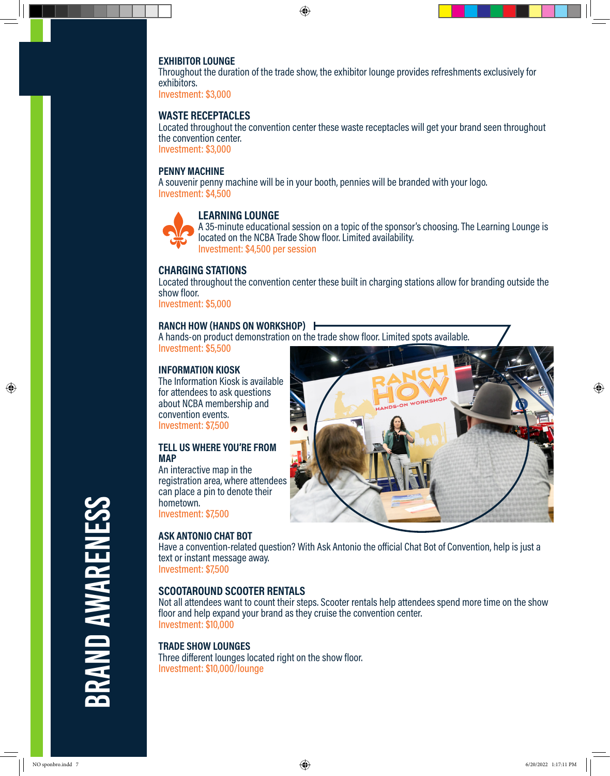#### **EXHIBITOR LOUNGE**

Throughout the duration of the trade show, the exhibitor lounge provides refreshments exclusively for exhibitors.

Investment: \$3,000

#### **WASTE RECEPTACLES**

Located throughout the convention center these waste receptacles will get your brand seen throughout the convention center. Investment: \$3,000

#### **PENNY MACHINE**

A souvenir penny machine will be in your booth, pennies will be branded with your logo. Investment: \$4,500



# **LEARNING LOUNGE**

A 35-minute educational session on a topic of the sponsor's choosing. The Learning Lounge is located on the NCBA Trade Show floor. Limited availability. Investment: \$4,500 per session

# **CHARGING STATIONS**

Located throughout the convention center these built in charging stations allow for branding outside the show floor.

Investment: \$5,000

#### **RANCH HOW (HANDS ON WORKSHOP)**

A hands-on product demonstration on the trade show floor. Limited spots available. Investment: \$5,500

**INFORMATION KIOSK** The Information Kiosk is available for attendees to ask questions about NCBA membership and convention events. Investment: \$7,500

#### **TELL US WHERE YOU'RE FROM MAP**

An interactive map in the registration area, where attendees can place a pin to denote their hometown. Investment: \$7,500

# **ASK ANTONIO CHAT BOT**



Have a convention-related question? With Ask Antonio the official Chat Bot of Convention, help is just a text or instant message away.

Investment: \$7,500

#### **SCOOTAROUND SCOOTER RENTALS**

Not all attendees want to count their steps. Scooter rentals help attendees spend more time on the show floor and help expand your brand as they cruise the convention center. Investment: \$10,000

#### **TRADE SHOW LOUNGES**

Three different lounges located right on the show floor. Investment: \$10,000/lounge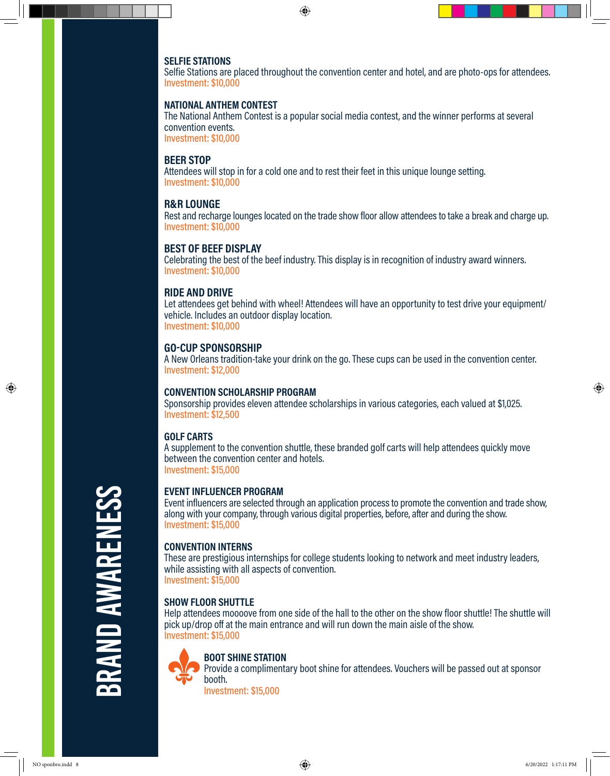#### **SELFIE STATIONS**

Selfie Stations are placed throughout the convention center and hotel, and are photo-ops for attendees. Investment: \$10,000

#### **NATIONAL ANTHEM CONTEST**

The National Anthem Contest is a popular social media contest, and the winner performs at several convention events. Investment: \$10,000

#### **BEER STOP**

Attendees will stop in for a cold one and to rest their feet in this unique lounge setting. Investment: \$10,000

#### **R&R LOUNGE**

Rest and recharge lounges located on the trade show floor allow attendees to take a break and charge up. Investment: \$10,000

# **BEST OF BEEF DISPLAY**

Celebrating the best of the beef industry. This display is in recognition of industry award winners. Investment: \$10,000

#### **RIDE AND DRIVE**

Let attendees get behind with wheel! Attendees will have an opportunity to test drive your equipment/ vehicle. Includes an outdoor display location. Investment: \$10,000

# **GO-CUP SPONSORSHIP**

A New Orleans tradition-take your drink on the go. These cups can be used in the convention center. Investment: \$12,000

#### **CONVENTION SCHOLARSHIP PROGRAM**

Sponsorship provides eleven attendee scholarships in various categories, each valued at \$1,025. Investment: \$12,500

# **GOLF CARTS**

A supplement to the convention shuttle, these branded golf carts will help attendees quickly move between the convention center and hotels. Investment: \$15,000

# **EVENT INFLUENCER PROGRAM**

Event influencers are selected through an application process to promote the convention and trade show, along with your company, through various digital properties, before, after and during the show. Investment: \$15,000

# **CONVENTION INTERNS**

These are prestigious internships for college students looking to network and meet industry leaders, while assisting with all aspects of convention. Investment: \$15,000

# **SHOW FLOOR SHUTTLE**

Help attendees moooove from one side of the hall to the other on the show floor shuttle! The shuttle will pick up/drop off at the main entrance and will run down the main aisle of the show. Investment: \$15,000



#### **BOOT SHINE STATION**

Provide a complimentary boot shine for attendees. Vouchers will be passed out at sponsor booth.

Investment: \$15,000